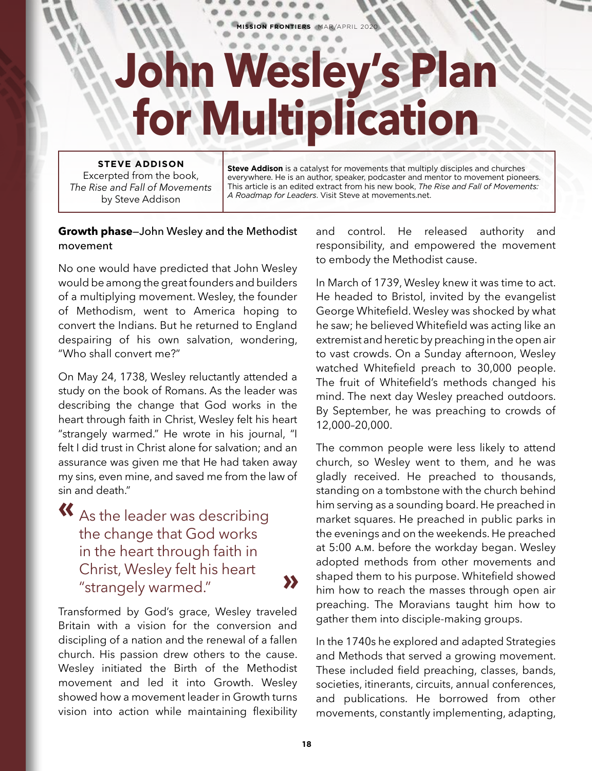## **John Wesley's Plan for Multiplication**

**SSION FRONTIERS** MAR/APRIL 2020

## **STEVE ADDISON**

Excerpted from the book, *The Rise and Fall of Movements* by Steve Addison

**Steve Addison** is a catalyst for movements that multiply disciples and churches everywhere. He is an author, speaker, podcaster and mentor to movement pioneers. This article is an edited extract from his new book, *The Rise and Fall of Movements: A Roadmap for Leaders*. Visit Steve at movements.net.

## **Growth phase**—John Wesley and the Methodist movement

No one would have predicted that John Wesley would be among the great founders and builders of a multiplying movement. Wesley, the founder of Methodism, went to America hoping to convert the Indians. But he returned to England despairing of his own salvation, wondering, "Who shall convert me?"

On May 24, 1738, Wesley reluctantly attended a study on the book of Romans. As the leader was describing the change that God works in the heart through faith in Christ, Wesley felt his heart "strangely warmed." He wrote in his journal, "I felt I did trust in Christ alone for salvation; and an assurance was given me that He had taken away my sins, even mine, and saved me from the law of sin and death."

**«** As the leader was describing the change that God works in the heart through faith in Christ, Wesley felt his heart "strangely warmed." **»**

Transformed by God's grace, Wesley traveled Britain with a vision for the conversion and discipling of a nation and the renewal of a fallen church. His passion drew others to the cause. Wesley initiated the Birth of the Methodist movement and led it into Growth. Wesley showed how a movement leader in Growth turns vision into action while maintaining flexibility

and control. He released authority and responsibility, and empowered the movement to embody the Methodist cause.

In March of 1739, Wesley knew it was time to act. He headed to Bristol, invited by the evangelist George Whitefield. Wesley was shocked by what he saw; he believed Whitefield was acting like an extremist and heretic by preaching in the open air to vast crowds. On a Sunday afternoon, Wesley watched Whitefield preach to 30,000 people. The fruit of Whitefield's methods changed his mind. The next day Wesley preached outdoors. By September, he was preaching to crowds of 12,000–20,000.

The common people were less likely to attend church, so Wesley went to them, and he was gladly received. He preached to thousands, standing on a tombstone with the church behind him serving as a sounding board. He preached in market squares. He preached in public parks in the evenings and on the weekends. He preached at 5:00 a.m. before the workday began. Wesley adopted methods from other movements and shaped them to his purpose. Whitefield showed him how to reach the masses through open air preaching. The Moravians taught him how to gather them into disciple-making groups.

In the 1740s he explored and adapted Strategies and Methods that served a growing movement. These included field preaching, classes, bands, societies, itinerants, circuits, annual conferences, and publications. He borrowed from other movements, constantly implementing, adapting,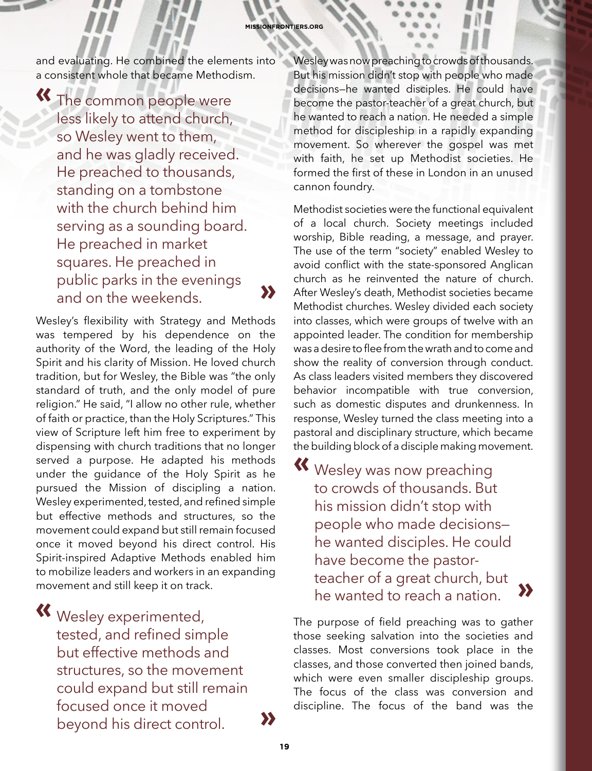and evaluating. He combined the elements into a consistent whole that became Methodism.

**«** The common people were less likely to attend church, so Wesley went to them, and he was gladly received. He preached to thousands, standing on a tombstone with the church behind him serving as a sounding board. He preached in market squares. He preached in public parks in the evenings and on the weekends. **••••••••••••••••••** 

Wesley's flexibility with Strategy and Methods was tempered by his dependence on the authority of the Word, the leading of the Holy Spirit and his clarity of Mission. He loved church tradition, but for Wesley, the Bible was "the only standard of truth, and the only model of pure religion." He said, "I allow no other rule, whether of faith or practice, than the Holy Scriptures." This view of Scripture left him free to experiment by dispensing with church traditions that no longer served a purpose. He adapted his methods under the guidance of the Holy Spirit as he pursued the Mission of discipling a nation. Wesley experimented, tested, and refined simple but effective methods and structures, so the movement could expand but still remain focused once it moved beyond his direct control. His Spirit-inspired Adaptive Methods enabled him to mobilize leaders and workers in an expanding movement and still keep it on track.

**«** Wesley experimented, tested, and refined simple but effective methods and structures, so the movement could expand but still remain focused once it moved beyond his direct control. **»**

Wesley was now preaching to crowds of thousands. But his mission didn't stop with people who made decisions—he wanted disciples. He could have become the pastor-teacher of a great church, but he wanted to reach a nation. He needed a simple method for discipleship in a rapidly expanding movement. So wherever the gospel was met with faith, he set up Methodist societies. He formed the first of these in London in an unused cannon foundry.

Methodist societies were the functional equivalent of a local church. Society meetings included worship, Bible reading, a message, and prayer. The use of the term "society" enabled Wesley to avoid conflict with the state-sponsored Anglican church as he reinvented the nature of church. After Wesley's death, Methodist societies became Methodist churches. Wesley divided each society into classes, which were groups of twelve with an appointed leader. The condition for membership was a desire to flee from the wrath and to come and show the reality of conversion through conduct. As class leaders visited members they discovered behavior incompatible with true conversion, such as domestic disputes and drunkenness. In response, Wesley turned the class meeting into a pastoral and disciplinary structure, which became the building block of a disciple making movement.

**«** Wesley was now preaching to crowds of thousands. But his mission didn't stop with people who made decisions he wanted disciples. He could have become the pastorteacher of a great church, but he wanted to reach a nation. **»**

The purpose of field preaching was to gather those seeking salvation into the societies and classes. Most conversions took place in the classes, and those converted then joined bands, which were even smaller discipleship groups. The focus of the class was conversion and discipline. The focus of the band was the